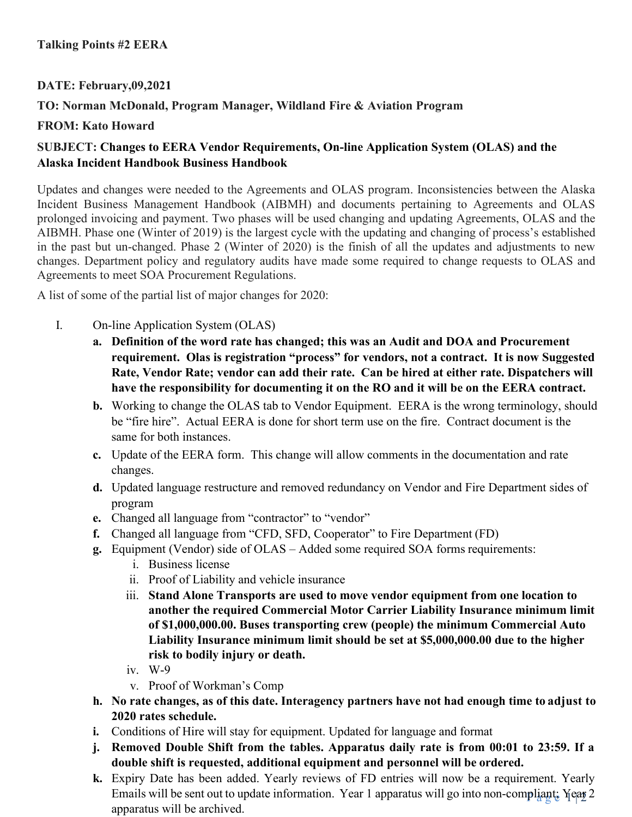## **DATE: February,09,2021**

# **TO: Norman McDonald, Program Manager, Wildland Fire & Aviation Program**

### **FROM: Kato Howard**

# **SUBJECT: Changes to EERA Vendor Requirements, On-line Application System (OLAS) and the Alaska Incident Handbook Business Handbook**

Updates and changes were needed to the Agreements and OLAS program. Inconsistencies between the Alaska Incident Business Management Handbook (AIBMH) and documents pertaining to Agreements and OLAS prolonged invoicing and payment. Two phases will be used changing and updating Agreements, OLAS and the AIBMH. Phase one (Winter of 2019) is the largest cycle with the updating and changing of process's established in the past but un-changed. Phase 2 (Winter of 2020) is the finish of all the updates and adjustments to new changes. Department policy and regulatory audits have made some required to change requests to OLAS and Agreements to meet SOA Procurement Regulations.

A list of some of the partial list of major changes for 2020:

- I. On-line Application System (OLAS)
	- **a. Definition of the word rate has changed; this was an Audit and DOA and Procurement requirement. Olas is registration "process" for vendors, not a contract. It is now Suggested Rate, Vendor Rate; vendor can add their rate. Can be hired at either rate. Dispatchers will have the responsibility for documenting it on the RO and it will be on the EERA contract.**
	- **b.** Working to change the OLAS tab to Vendor Equipment. EERA is the wrong terminology, should be "fire hire". Actual EERA is done for short term use on the fire. Contract document is the same for both instances.
	- **c.** Update of the EERA form. This change will allow comments in the documentation and rate changes.
	- **d.** Updated language restructure and removed redundancy on Vendor and Fire Department sides of program
	- **e.** Changed all language from "contractor" to "vendor"
	- **f.** Changed all language from "CFD, SFD, Cooperator" to Fire Department (FD)
	- **g.** Equipment (Vendor) side of OLAS Added some required SOA forms requirements:
		- i. Business license
		- ii. Proof of Liability and vehicle insurance
		- iii. **Stand Alone Transports are used to move vendor equipment from one location to another the required Commercial Motor Carrier Liability Insurance minimum limit of \$1,000,000.00. Buses transporting crew (people) the minimum Commercial Auto Liability Insurance minimum limit should be set at \$5,000,000.00 due to the higher risk to bodily injury or death.**
		- iv. W-9
		- v. Proof of Workman's Comp
	- **h. No rate changes, as of this date. Interagency partners have not had enough time to adjust to 2020 rates schedule.**
	- **i.** Conditions of Hire will stay for equipment. Updated for language and format
	- **j. Removed Double Shift from the tables. Apparatus daily rate is from 00:01 to 23:59. If a double shift is requested, additional equipment and personnel will be ordered.**
	- Emails will be sent out to update information. Year 1 apparatus will go into non-compliant: Year 2 **k.** Expiry Date has been added. Yearly reviews of FD entries will now be a requirement. Yearly apparatus will be archived.